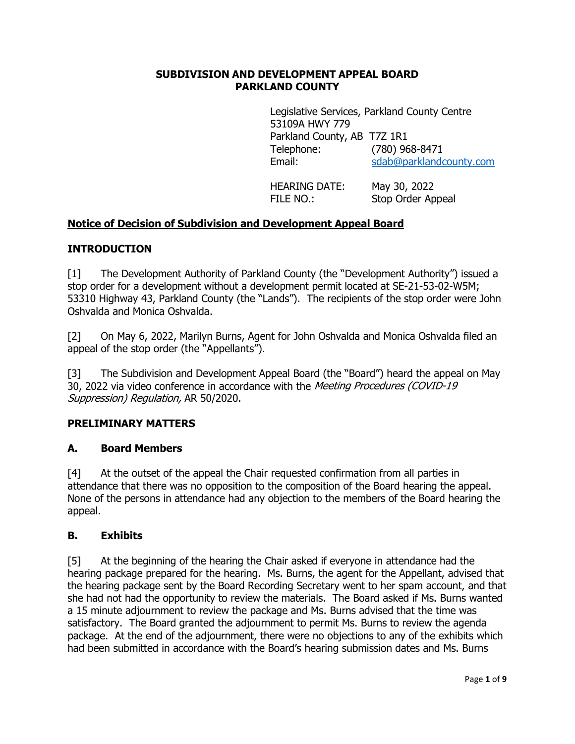#### **SUBDIVISION AND DEVELOPMENT APPEAL BOARD PARKLAND COUNTY**

Legislative Services, Parkland County Centre 53109A HWY 779 Parkland County, AB T7Z 1R1 Telephone: (780) 968-8471 Email: [sdab@parklandcounty.com](mailto:sdab@parklandcounty.com) 

HEARING DATE: May 30, 2022 FILE NO.: Stop Order Appeal

# **Notice of Decision of Subdivision and Development Appeal Board**

### **INTRODUCTION**

[1] The Development Authority of Parkland County (the "Development Authority") issued a stop order for a development without a development permit located at SE-21-53-02-W5M; 53310 Highway 43, Parkland County (the "Lands"). The recipients of the stop order were John Oshvalda and Monica Oshvalda.

[2] On May 6, 2022, Marilyn Burns, Agent for John Oshvalda and Monica Oshvalda filed an appeal of the stop order (the "Appellants").

[3] The Subdivision and Development Appeal Board (the "Board") heard the appeal on May 30, 2022 via video conference in accordance with the Meeting Procedures (COVID-19 Suppression) Regulation, AR 50/2020.

#### **PRELIMINARY MATTERS**

#### **A. Board Members**

[4] At the outset of the appeal the Chair requested confirmation from all parties in attendance that there was no opposition to the composition of the Board hearing the appeal. None of the persons in attendance had any objection to the members of the Board hearing the appeal.

#### **B. Exhibits**

[5] At the beginning of the hearing the Chair asked if everyone in attendance had the hearing package prepared for the hearing. Ms. Burns, the agent for the Appellant, advised that the hearing package sent by the Board Recording Secretary went to her spam account, and that she had not had the opportunity to review the materials. The Board asked if Ms. Burns wanted a 15 minute adjournment to review the package and Ms. Burns advised that the time was satisfactory. The Board granted the adjournment to permit Ms. Burns to review the agenda package. At the end of the adjournment, there were no objections to any of the exhibits which had been submitted in accordance with the Board's hearing submission dates and Ms. Burns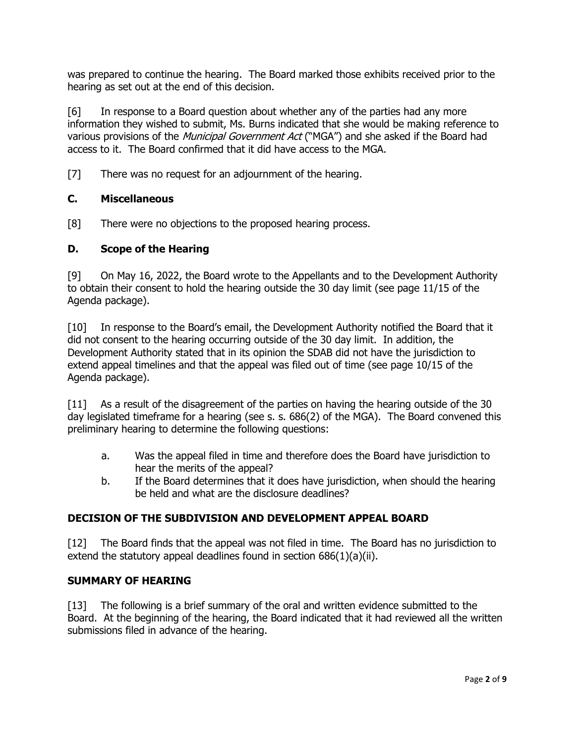was prepared to continue the hearing. The Board marked those exhibits received prior to the hearing as set out at the end of this decision.

[6] In response to a Board question about whether any of the parties had any more information they wished to submit, Ms. Burns indicated that she would be making reference to various provisions of the Municipal Government Act ("MGA") and she asked if the Board had access to it. The Board confirmed that it did have access to the MGA.

[7] There was no request for an adjournment of the hearing.

### **C. Miscellaneous**

[8] There were no objections to the proposed hearing process.

#### **D. Scope of the Hearing**

[9] On May 16, 2022, the Board wrote to the Appellants and to the Development Authority to obtain their consent to hold the hearing outside the 30 day limit (see page 11/15 of the Agenda package).

[10] In response to the Board's email, the Development Authority notified the Board that it did not consent to the hearing occurring outside of the 30 day limit. In addition, the Development Authority stated that in its opinion the SDAB did not have the jurisdiction to extend appeal timelines and that the appeal was filed out of time (see page 10/15 of the Agenda package).

[11] As a result of the disagreement of the parties on having the hearing outside of the 30 day legislated timeframe for a hearing (see s. s. 686(2) of the MGA). The Board convened this preliminary hearing to determine the following questions:

- a. Was the appeal filed in time and therefore does the Board have jurisdiction to hear the merits of the appeal?
- b. If the Board determines that it does have jurisdiction, when should the hearing be held and what are the disclosure deadlines?

#### **DECISION OF THE SUBDIVISION AND DEVELOPMENT APPEAL BOARD**

[12] The Board finds that the appeal was not filed in time. The Board has no jurisdiction to extend the statutory appeal deadlines found in section 686(1)(a)(ii).

#### **SUMMARY OF HEARING**

[13] The following is a brief summary of the oral and written evidence submitted to the Board. At the beginning of the hearing, the Board indicated that it had reviewed all the written submissions filed in advance of the hearing.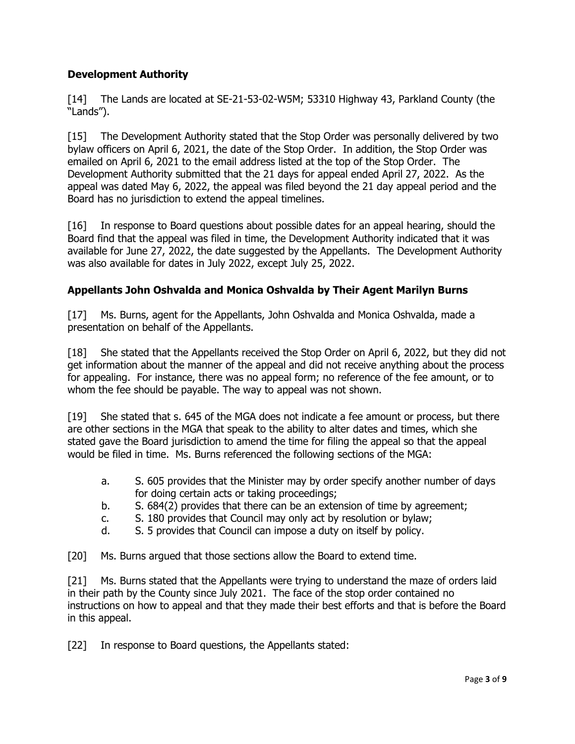# **Development Authority**

[14] The Lands are located at SE-21-53-02-W5M; 53310 Highway 43, Parkland County (the "Lands").

[15] The Development Authority stated that the Stop Order was personally delivered by two bylaw officers on April 6, 2021, the date of the Stop Order. In addition, the Stop Order was emailed on April 6, 2021 to the email address listed at the top of the Stop Order. The Development Authority submitted that the 21 days for appeal ended April 27, 2022. As the appeal was dated May 6, 2022, the appeal was filed beyond the 21 day appeal period and the Board has no jurisdiction to extend the appeal timelines.

[16] In response to Board questions about possible dates for an appeal hearing, should the Board find that the appeal was filed in time, the Development Authority indicated that it was available for June 27, 2022, the date suggested by the Appellants. The Development Authority was also available for dates in July 2022, except July 25, 2022.

### **Appellants John Oshvalda and Monica Oshvalda by Their Agent Marilyn Burns**

[17] Ms. Burns, agent for the Appellants, John Oshvalda and Monica Oshvalda, made a presentation on behalf of the Appellants.

[18] She stated that the Appellants received the Stop Order on April 6, 2022, but they did not get information about the manner of the appeal and did not receive anything about the process for appealing. For instance, there was no appeal form; no reference of the fee amount, or to whom the fee should be payable. The way to appeal was not shown.

[19] She stated that s. 645 of the MGA does not indicate a fee amount or process, but there are other sections in the MGA that speak to the ability to alter dates and times, which she stated gave the Board jurisdiction to amend the time for filing the appeal so that the appeal would be filed in time. Ms. Burns referenced the following sections of the MGA:

- a. S. 605 provides that the Minister may by order specify another number of days for doing certain acts or taking proceedings;
- b. S. 684(2) provides that there can be an extension of time by agreement;
- c. S. 180 provides that Council may only act by resolution or bylaw;
- d. S. 5 provides that Council can impose a duty on itself by policy.

[20] Ms. Burns argued that those sections allow the Board to extend time.

[21] Ms. Burns stated that the Appellants were trying to understand the maze of orders laid in their path by the County since July 2021. The face of the stop order contained no instructions on how to appeal and that they made their best efforts and that is before the Board in this appeal.

[22] In response to Board questions, the Appellants stated: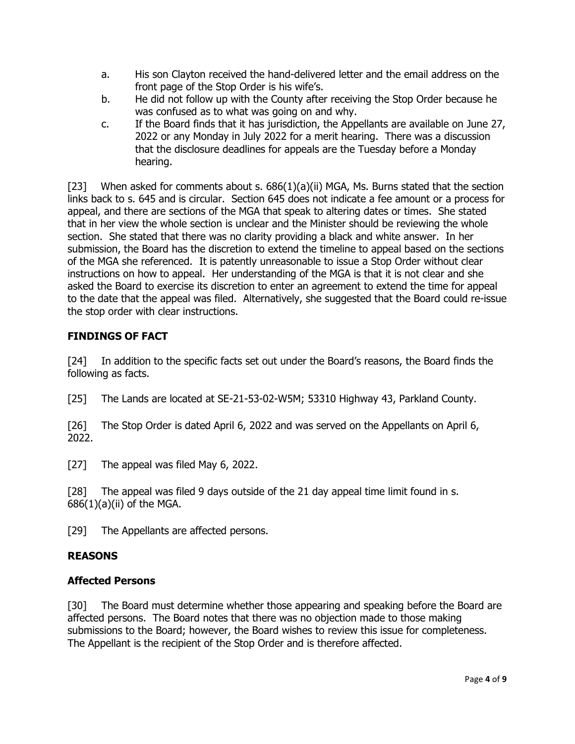- a. His son Clayton received the hand-delivered letter and the email address on the front page of the Stop Order is his wife's.
- b. He did not follow up with the County after receiving the Stop Order because he was confused as to what was going on and why.
- c. If the Board finds that it has jurisdiction, the Appellants are available on June 27, 2022 or any Monday in July 2022 for a merit hearing. There was a discussion that the disclosure deadlines for appeals are the Tuesday before a Monday hearing.

[23] When asked for comments about s.  $686(1)(a)(ii)$  MGA, Ms. Burns stated that the section links back to s. 645 and is circular. Section 645 does not indicate a fee amount or a process for appeal, and there are sections of the MGA that speak to altering dates or times. She stated that in her view the whole section is unclear and the Minister should be reviewing the whole section. She stated that there was no clarity providing a black and white answer. In her submission, the Board has the discretion to extend the timeline to appeal based on the sections of the MGA she referenced. It is patently unreasonable to issue a Stop Order without clear instructions on how to appeal. Her understanding of the MGA is that it is not clear and she asked the Board to exercise its discretion to enter an agreement to extend the time for appeal to the date that the appeal was filed. Alternatively, she suggested that the Board could re-issue the stop order with clear instructions.

# **FINDINGS OF FACT**

[24] In addition to the specific facts set out under the Board's reasons, the Board finds the following as facts.

[25] The Lands are located at SE-21-53-02-W5M; 53310 Highway 43, Parkland County.

[26] The Stop Order is dated April 6, 2022 and was served on the Appellants on April 6, 2022.

[27] The appeal was filed May 6, 2022.

[28] The appeal was filed 9 days outside of the 21 day appeal time limit found in s.  $686(1)(a)(ii)$  of the MGA.

[29] The Appellants are affected persons.

# **REASONS**

# **Affected Persons**

[30] The Board must determine whether those appearing and speaking before the Board are affected persons. The Board notes that there was no objection made to those making submissions to the Board; however, the Board wishes to review this issue for completeness. The Appellant is the recipient of the Stop Order and is therefore affected.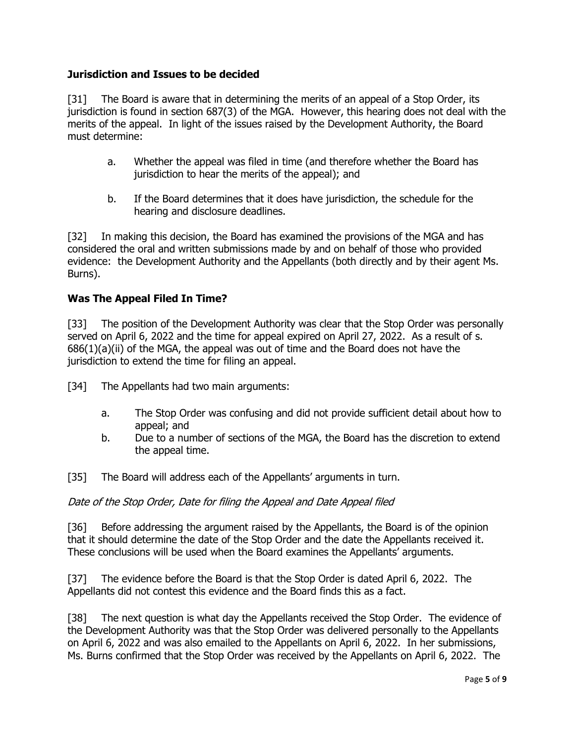### **Jurisdiction and Issues to be decided**

[31] The Board is aware that in determining the merits of an appeal of a Stop Order, its jurisdiction is found in section 687(3) of the MGA. However, this hearing does not deal with the merits of the appeal. In light of the issues raised by the Development Authority, the Board must determine:

- a. Whether the appeal was filed in time (and therefore whether the Board has jurisdiction to hear the merits of the appeal); and
- b. If the Board determines that it does have jurisdiction, the schedule for the hearing and disclosure deadlines.

[32] In making this decision, the Board has examined the provisions of the MGA and has considered the oral and written submissions made by and on behalf of those who provided evidence: the Development Authority and the Appellants (both directly and by their agent Ms. Burns).

# **Was The Appeal Filed In Time?**

[33] The position of the Development Authority was clear that the Stop Order was personally served on April 6, 2022 and the time for appeal expired on April 27, 2022. As a result of s. 686(1)(a)(ii) of the MGA, the appeal was out of time and the Board does not have the jurisdiction to extend the time for filing an appeal.

[34] The Appellants had two main arguments:

- a. The Stop Order was confusing and did not provide sufficient detail about how to appeal; and
- b. Due to a number of sections of the MGA, the Board has the discretion to extend the appeal time.

[35] The Board will address each of the Appellants' arguments in turn.

Date of the Stop Order, Date for filing the Appeal and Date Appeal filed

[36] Before addressing the argument raised by the Appellants, the Board is of the opinion that it should determine the date of the Stop Order and the date the Appellants received it. These conclusions will be used when the Board examines the Appellants' arguments.

[37] The evidence before the Board is that the Stop Order is dated April 6, 2022. The Appellants did not contest this evidence and the Board finds this as a fact.

[38] The next question is what day the Appellants received the Stop Order. The evidence of the Development Authority was that the Stop Order was delivered personally to the Appellants on April 6, 2022 and was also emailed to the Appellants on April 6, 2022. In her submissions, Ms. Burns confirmed that the Stop Order was received by the Appellants on April 6, 2022. The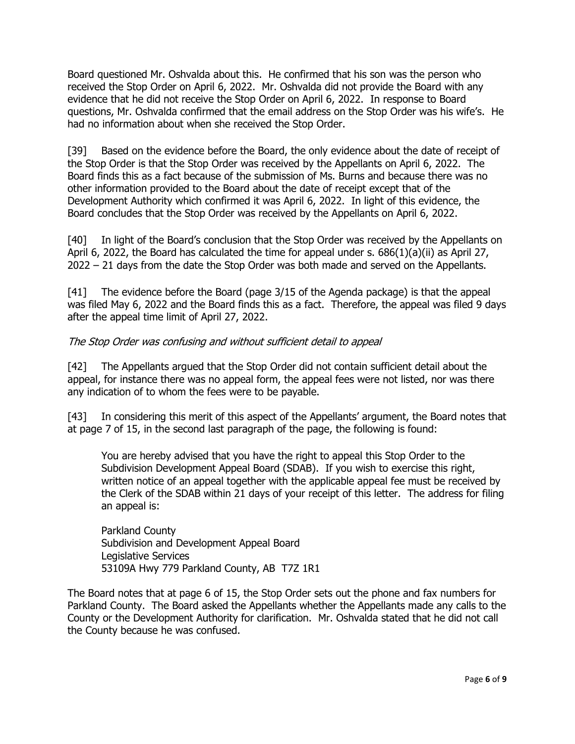Board questioned Mr. Oshvalda about this. He confirmed that his son was the person who received the Stop Order on April 6, 2022. Mr. Oshvalda did not provide the Board with any evidence that he did not receive the Stop Order on April 6, 2022. In response to Board questions, Mr. Oshvalda confirmed that the email address on the Stop Order was his wife's. He had no information about when she received the Stop Order.

[39] Based on the evidence before the Board, the only evidence about the date of receipt of the Stop Order is that the Stop Order was received by the Appellants on April 6, 2022. The Board finds this as a fact because of the submission of Ms. Burns and because there was no other information provided to the Board about the date of receipt except that of the Development Authority which confirmed it was April 6, 2022. In light of this evidence, the Board concludes that the Stop Order was received by the Appellants on April 6, 2022.

[40] In light of the Board's conclusion that the Stop Order was received by the Appellants on April 6, 2022, the Board has calculated the time for appeal under s.  $686(1)(a)(ii)$  as April 27, 2022 – 21 days from the date the Stop Order was both made and served on the Appellants.

[41] The evidence before the Board (page 3/15 of the Agenda package) is that the appeal was filed May 6, 2022 and the Board finds this as a fact. Therefore, the appeal was filed 9 days after the appeal time limit of April 27, 2022.

### The Stop Order was confusing and without sufficient detail to appeal

[42] The Appellants argued that the Stop Order did not contain sufficient detail about the appeal, for instance there was no appeal form, the appeal fees were not listed, nor was there any indication of to whom the fees were to be payable.

[43] In considering this merit of this aspect of the Appellants' argument, the Board notes that at page 7 of 15, in the second last paragraph of the page, the following is found:

You are hereby advised that you have the right to appeal this Stop Order to the Subdivision Development Appeal Board (SDAB). If you wish to exercise this right, written notice of an appeal together with the applicable appeal fee must be received by the Clerk of the SDAB within 21 days of your receipt of this letter. The address for filing an appeal is:

Parkland County Subdivision and Development Appeal Board Legislative Services 53109A Hwy 779 Parkland County, AB T7Z 1R1

The Board notes that at page 6 of 15, the Stop Order sets out the phone and fax numbers for Parkland County. The Board asked the Appellants whether the Appellants made any calls to the County or the Development Authority for clarification. Mr. Oshvalda stated that he did not call the County because he was confused.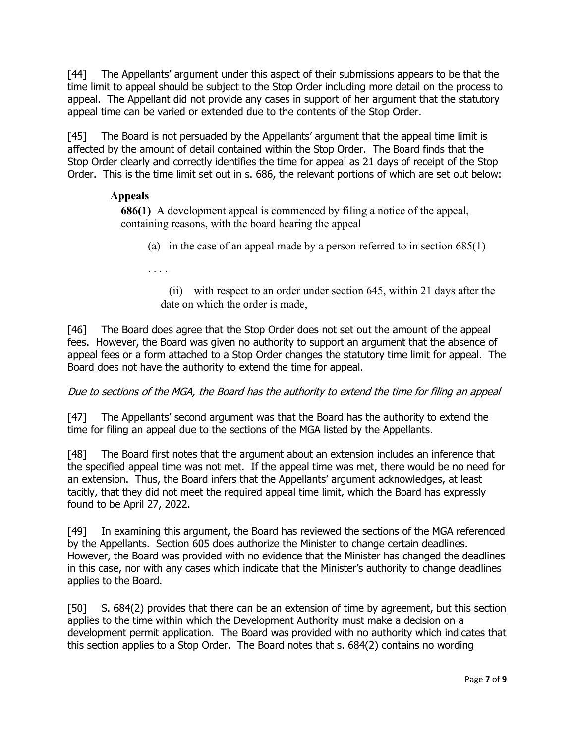[44] The Appellants' argument under this aspect of their submissions appears to be that the time limit to appeal should be subject to the Stop Order including more detail on the process to appeal. The Appellant did not provide any cases in support of her argument that the statutory appeal time can be varied or extended due to the contents of the Stop Order.

[45] The Board is not persuaded by the Appellants' argument that the appeal time limit is affected by the amount of detail contained within the Stop Order. The Board finds that the Stop Order clearly and correctly identifies the time for appeal as 21 days of receipt of the Stop Order. This is the time limit set out in s. 686, the relevant portions of which are set out below:

# **Appeals**

**686(1)** A development appeal is commenced by filing a notice of the appeal, containing reasons, with the board hearing the appeal

(a) in the case of an appeal made by a person referred to in section  $685(1)$ 

. . . .

 (ii) with respect to an order under [section 645,](https://www.canlii.org/en/ab/laws/stat/rsa-2000-c-m-26/latest/rsa-2000-c-m-26.html?autocompleteStr=municipal%20&autocompletePos=1#sec645_smooth) within 21 days after the date on which the order is made,

[46] The Board does agree that the Stop Order does not set out the amount of the appeal fees. However, the Board was given no authority to support an argument that the absence of appeal fees or a form attached to a Stop Order changes the statutory time limit for appeal. The Board does not have the authority to extend the time for appeal.

# Due to sections of the MGA, the Board has the authority to extend the time for filing an appeal

[47] The Appellants' second argument was that the Board has the authority to extend the time for filing an appeal due to the sections of the MGA listed by the Appellants.

[48] The Board first notes that the argument about an extension includes an inference that the specified appeal time was not met. If the appeal time was met, there would be no need for an extension. Thus, the Board infers that the Appellants' argument acknowledges, at least tacitly, that they did not meet the required appeal time limit, which the Board has expressly found to be April 27, 2022.

[49] In examining this argument, the Board has reviewed the sections of the MGA referenced by the Appellants. Section 605 does authorize the Minister to change certain deadlines. However, the Board was provided with no evidence that the Minister has changed the deadlines in this case, nor with any cases which indicate that the Minister's authority to change deadlines applies to the Board.

[50] S. 684(2) provides that there can be an extension of time by agreement, but this section applies to the time within which the Development Authority must make a decision on a development permit application. The Board was provided with no authority which indicates that this section applies to a Stop Order. The Board notes that s. 684(2) contains no wording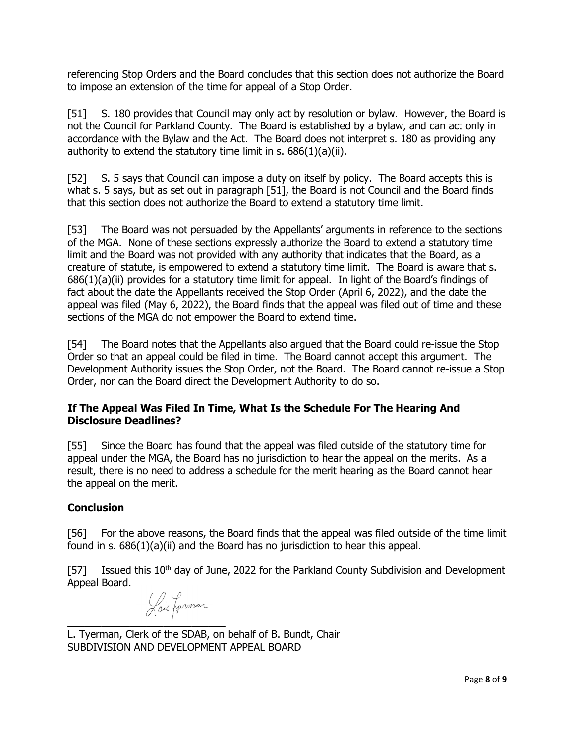referencing Stop Orders and the Board concludes that this section does not authorize the Board to impose an extension of the time for appeal of a Stop Order.

<span id="page-7-0"></span>[51] S. 180 provides that Council may only act by resolution or bylaw. However, the Board is not the Council for Parkland County. The Board is established by a bylaw, and can act only in accordance with the Bylaw and the Act. The Board does not interpret s. 180 as providing any authority to extend the statutory time limit in s. 686(1)(a)(ii).

[52] S. 5 says that Council can impose a duty on itself by policy. The Board accepts this is what s. 5 says, but as set out in paragraph [\[51\],](#page-7-0) the Board is not Council and the Board finds that this section does not authorize the Board to extend a statutory time limit.

[53] The Board was not persuaded by the Appellants' arguments in reference to the sections of the MGA. None of these sections expressly authorize the Board to extend a statutory time limit and the Board was not provided with any authority that indicates that the Board, as a creature of statute, is empowered to extend a statutory time limit. The Board is aware that s. 686(1)(a)(ii) provides for a statutory time limit for appeal. In light of the Board's findings of fact about the date the Appellants received the Stop Order (April 6, 2022), and the date the appeal was filed (May 6, 2022), the Board finds that the appeal was filed out of time and these sections of the MGA do not empower the Board to extend time.

[54] The Board notes that the Appellants also argued that the Board could re-issue the Stop Order so that an appeal could be filed in time. The Board cannot accept this argument. The Development Authority issues the Stop Order, not the Board. The Board cannot re-issue a Stop Order, nor can the Board direct the Development Authority to do so.

# **If The Appeal Was Filed In Time, What Is the Schedule For The Hearing And Disclosure Deadlines?**

[55] Since the Board has found that the appeal was filed outside of the statutory time for appeal under the MGA, the Board has no jurisdiction to hear the appeal on the merits. As a result, there is no need to address a schedule for the merit hearing as the Board cannot hear the appeal on the merit.

# **Conclusion**

[56] For the above reasons, the Board finds that the appeal was filed outside of the time limit found in s.  $686(1)(a)(ii)$  and the Board has no jurisdiction to hear this appeal.

[57] Issued this 10<sup>th</sup> day of June, 2022 for the Parkland County Subdivision and Development Appeal Board.

Lois Lynmar

 $\overline{\phantom{a}}$  , where  $\overline{\phantom{a}}$ L. Tyerman, Clerk of the SDAB, on behalf of B. Bundt, Chair SUBDIVISION AND DEVELOPMENT APPEAL BOARD